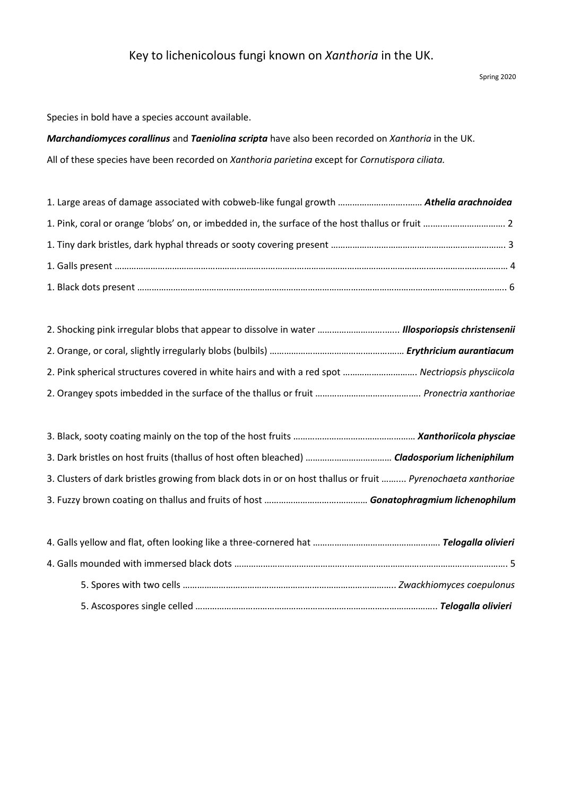## Key to lichenicolous fungi known on *Xanthoria* in the UK.

Species in bold have a species account available.

*Marchandiomyces corallinus* and *Taeniolina scripta* have also been recorded on *Xanthoria* in the UK. All of these species have been recorded on *Xanthoria parietina* except for *Cornutispora ciliata.*

| 2. Pink spherical structures covered in white hairs and with a red spot  Nectriopsis physciicola |  |
|--------------------------------------------------------------------------------------------------|--|
|                                                                                                  |  |

| 3. Clusters of dark bristles growing from black dots in or on host thallus or fruit  Pyrenochaeta xanthoriae |  |
|--------------------------------------------------------------------------------------------------------------|--|
|                                                                                                              |  |